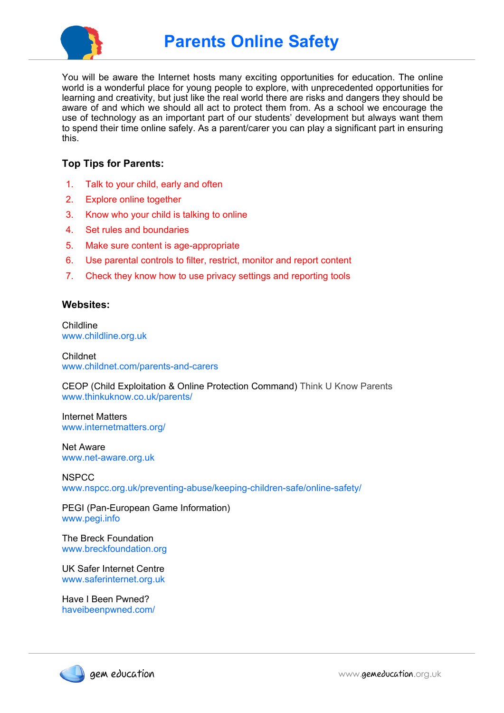

You will be aware the Internet hosts many exciting opportunities for education. The online world is a wonderful place for young people to explore, with unprecedented opportunities for learning and creativity, but just like the real world there are risks and dangers they should be aware of and which we should all act to protect them from. As a school we encourage the use of technology as an important part of our students' development but always want them to spend their time online safely. As a parent/carer you can play a significant part in ensuring this.

## **Top Tips for Parents:**

- 1. Talk to your child, early and often
- 2. Explore online together
- 3. Know who your child is talking to online
- 4. Set rules and boundaries
- 5. Make sure content is age-appropriate
- 6. Use parental controls to filter, restrict, monitor and report content
- 7. Check they know how to use privacy settings and reporting tools

#### **Websites:**

**Childline** www.childline.org.uk

Childnet www.childnet.com/parents-and-carers

CEOP (Child Exploitation & Online Protection Command) Think U Know Parents www.thinkuknow.co.uk/parents/

Internet Matters www.internetmatters.org/

Net Aware www.net-aware.org.uk

**NSPCC** www.nspcc.org.uk/preventing-abuse/keeping-children-safe/online-safety/

PEGI (Pan-European Game Information) www.pegi.info

The Breck Foundation www.breckfoundation.org

UK Safer Internet Centre www.saferinternet.org.uk

Have I Been Pwned? haveibeenpwned.com/